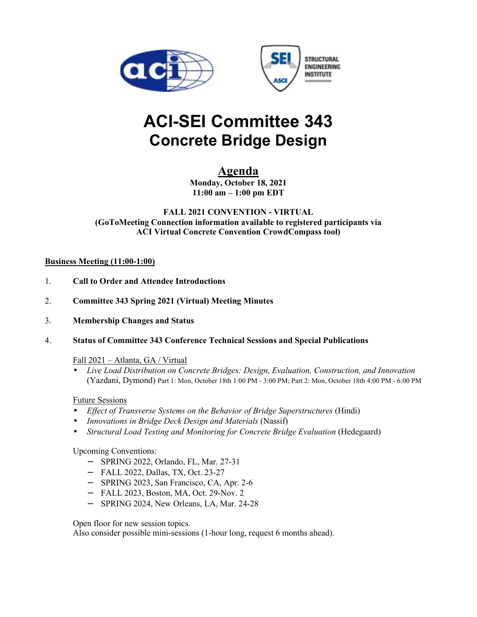



# **ACI-SEI Committee 343 Concrete Bridge Design**

# **Agenda**

**Monday, October 18, 2021 11:00 am – 1:00 pm EDT** 

# **FALL 2021 CONVENTION - VIRTUAL (GoToMeeting Connection information available to registered participants via ACI Virtual Concrete Convention CrowdCompass tool)**

# **Business Meeting (11:00-1:00)**

- 1. **Call to Order and Attendee Introductions**
- 2. **Committee 343 Spring 2021 (Virtual) Meeting Minutes**
- 3. **Membership Changes and Status**
- 4. **Status of Committee 343 Conference Technical Sessions and Special Publications**

# Fall 2021 – Atlanta, GA / Virtual

• *Live Load Distribution on Concrete Bridges: Design, Evaluation, Construction, and Innovation* (Yazdani, Dymond) Part 1: Mon, October 18th 1:00 PM - 3:00 PM; Part 2: Mon, October 18th 4:00 PM - 6:00 PM

# Future Sessions

- *Effect of Transverse Systems on the Behavior of Bridge Superstructures* (Hindi)
- *Innovations in Bridge Deck Design and Materials* (Nassif)
- *Structural Load Testing and Monitoring for Concrete Bridge Evaluation* (Hedegaard)

Upcoming Conventions:

- − SPRING 2022, Orlando, FL, Mar. 27-31
- − FALL 2022, Dallas, TX, Oct. 23-27
- − SPRING 2023, San Francisco, CA, Apr. 2-6
- − FALL 2023, Boston, MA, Oct. 29-Nov. 2
- − SPRING 2024, New Orleans, LA, Mar. 24-28

Open floor for new session topics.

Also consider possible mini-sessions (1-hour long, request 6 months ahead).